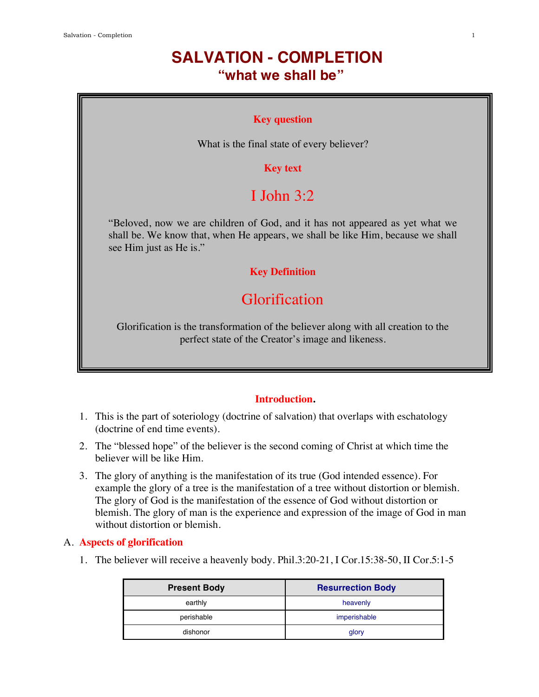# **SALVATION - COMPLETION "what we shall be"**

#### **Key question**

What is the final state of every believer?

### **Key text**

# I John  $3:2$

"Beloved, now we are children of God, and it has not appeared as yet what we shall be. We know that, when He appears, we shall be like Him, because we shall see Him just as He is."

#### **Key Definition**

# Glorification

Glorification is the transformation of the believer along with all creation to the perfect state of the Creator's image and likeness.

### **Introduction.**

- 1. This is the part of soteriology (doctrine of salvation) that overlaps with eschatology (doctrine of end time events).
- 2. The "blessed hope" of the believer is the second coming of Christ at which time the believer will be like Him.
- 3. The glory of anything is the manifestation of its true (God intended essence). For example the glory of a tree is the manifestation of a tree without distortion or blemish. The glory of God is the manifestation of the essence of God without distortion or blemish. The glory of man is the experience and expression of the image of God in man without distortion or blemish.

#### A. **Aspects of glorification**

1. The believer will receive a heavenly body. Phil.3:20-21, I Cor.15:38-50, II Cor.5:1-5

| <b>Present Body</b> | <b>Resurrection Body</b> |
|---------------------|--------------------------|
| earthly             | heavenly                 |
| perishable          | imperishable             |
| dishonor            | glory                    |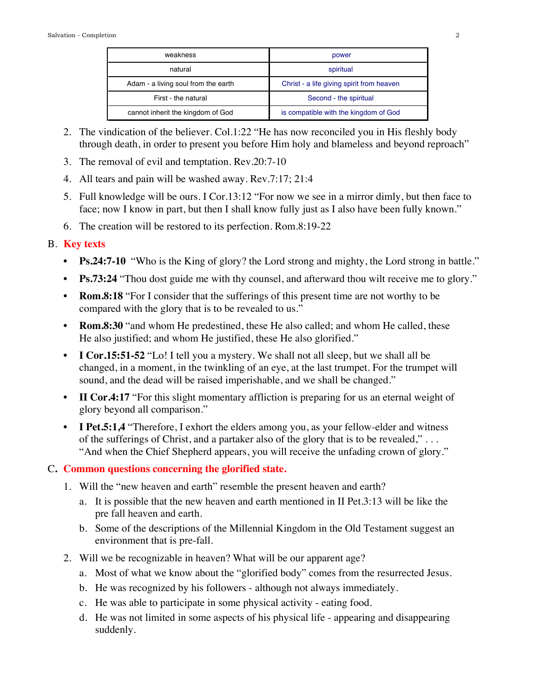| weakness                            | power                                     |
|-------------------------------------|-------------------------------------------|
| natural                             | spiritual                                 |
| Adam - a living soul from the earth | Christ - a life giving spirit from heaven |
| First - the natural                 | Second - the spiritual                    |
| cannot inherit the kingdom of God   | is compatible with the kingdom of God     |

- 2. The vindication of the believer. Col.1:22 "He has now reconciled you in His fleshly body through death, in order to present you before Him holy and blameless and beyond reproach"
- 3. The removal of evil and temptation. Rev.20:7-10
- 4. All tears and pain will be washed away. Rev.7:17; 21:4
- 5. Full knowledge will be ours. I Cor.13:12 "For now we see in a mirror dimly, but then face to face; now I know in part, but then I shall know fully just as I also have been fully known."
- 6. The creation will be restored to its perfection. Rom.8:19-22

## B. **Key texts**

- **Ps.24:7-10** "Who is the King of glory? the Lord strong and mighty, the Lord strong in battle."
- **Ps.73:24** "Thou dost guide me with thy counsel, and afterward thou wilt receive me to glory."
- **Rom.8:18** "For I consider that the sufferings of this present time are not worthy to be compared with the glory that is to be revealed to us."
- **Rom.8:30** "and whom He predestined, these He also called; and whom He called, these He also justified; and whom He justified, these He also glorified."
- **I Cor.15:51-52** "Lo! I tell you a mystery. We shall not all sleep, but we shall all be changed, in a moment, in the twinkling of an eye, at the last trumpet. For the trumpet will sound, and the dead will be raised imperishable, and we shall be changed."
- **II Cor.4:17** "For this slight momentary affliction is preparing for us an eternal weight of glory beyond all comparison."
- **I Pet.5:1.4** "Therefore, I exhort the elders among you, as your fellow-elder and witness of the sufferings of Christ, and a partaker also of the glory that is to be revealed," . . . "And when the Chief Shepherd appears, you will receive the unfading crown of glory."

# C**. Common questions concerning the glorified state.**

- 1. Will the "new heaven and earth" resemble the present heaven and earth?
	- a. It is possible that the new heaven and earth mentioned in II Pet.3:13 will be like the pre fall heaven and earth.
	- b. Some of the descriptions of the Millennial Kingdom in the Old Testament suggest an environment that is pre-fall.
- 2. Will we be recognizable in heaven? What will be our apparent age?
	- a. Most of what we know about the "glorified body" comes from the resurrected Jesus.
	- b. He was recognized by his followers although not always immediately.
	- c. He was able to participate in some physical activity eating food.
	- d. He was not limited in some aspects of his physical life appearing and disappearing suddenly.